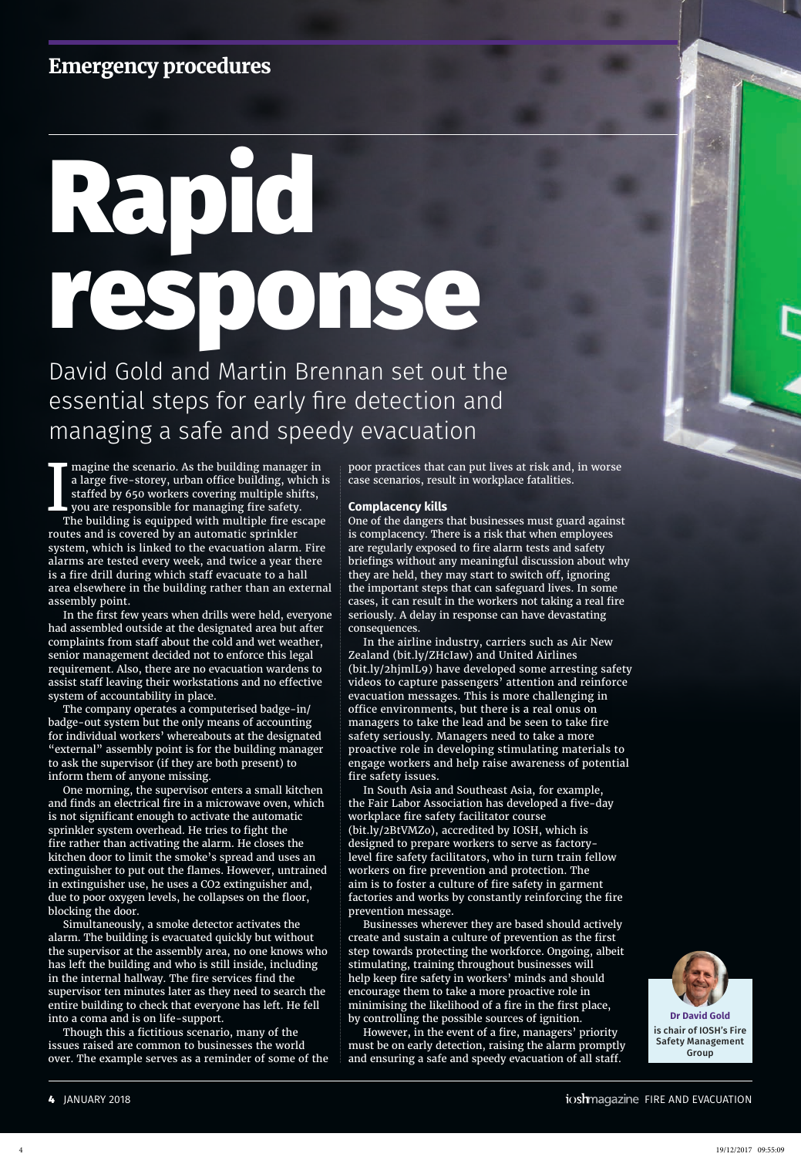# **Emergency procedures**

# Rapid response

David Gold and Martin Brennan set out the essential steps for early fire detection and managing a safe and speedy evacuation

I  $\blacksquare$  magine the scenario. As the building manager in a large five-storey, urban office building, which is stafed by 650 workers covering multiple shifts, you are responsible for managing fire safety.

The building is equipped with multiple fire escape routes and is covered by an automatic sprinkler system, which is linked to the evacuation alarm. Fire alarms are tested every week, and twice a year there is a fire drill during which staff evacuate to a hall area elsewhere in the building rather than an external assembly point.

In the first few years when drills were held, everyone had assembled outside at the designated area but after complaints from staff about the cold and wet weather, senior management decided not to enforce this legal requirement. Also, there are no evacuation wardens to assist staff leaving their workstations and no effective system of accountability in place.

The company operates a computerised badge-in/ badge-out system but the only means of accounting for individual workers' whereabouts at the designated "external" assembly point is for the building manager to ask the supervisor (if they are both present) to inform them of anyone missing.

One morning, the supervisor enters a small kitchen and finds an electrical fire in a microwave oven, which is not significant enough to activate the automatic sprinkler system overhead. He tries to fight the fire rather than activating the alarm. He closes the kitchen door to limit the smoke's spread and uses an extinguisher to put out the flames. However, untrained in extinguisher use, he uses a CO2 extinguisher and, due to poor oxygen levels, he collapses on the floor, blocking the door.

Simultaneously, a smoke detector activates the alarm. The building is evacuated quickly but without the supervisor at the assembly area, no one knows who has left the building and who is still inside, including in the internal hallway. The fire services find the supervisor ten minutes later as they need to search the entire building to check that everyone has left. He fell into a coma and is on life-support.

Though this a fictitious scenario, many of the issues raised are common to businesses the world over. The example serves as a reminder of some of the poor practices that can put lives at risk and, in worse case scenarios, result in workplace fatalities.

## **Complacency kills**

One of the dangers that businesses must guard against is complacency. There is a risk that when employees are regularly exposed to fire alarm tests and safety briefings without any meaningful discussion about why they are held, they may start to switch off, ignoring the important steps that can safeguard lives. In some cases, it can result in the workers not taking a real fire seriously. A delay in response can have devastating consequences.

In the airline industry, carriers such as Air New Zealand (bit.ly/ZHcIaw) and United Airlines (bit.ly/2hjmlL9) have developed some arresting safety videos to capture passengers' attention and reinforce evacuation messages. This is more challenging in office environments, but there is a real onus on managers to take the lead and be seen to take fire safety seriously. Managers need to take a more proactive role in developing stimulating materials to engage workers and help raise awareness of potential fire safety issues.

In South Asia and Southeast Asia, for example, the Fair Labor Association has developed a five-day workplace fire safety facilitator course (bit.ly/2BtVMZo), accredited by IOSH, which is designed to prepare workers to serve as factorylevel fire safety facilitators, who in turn train fellow workers on fire prevention and protection. The aim is to foster a culture of fire safety in garment factories and works by constantly reinforcing the fire prevention message.

Businesses wherever they are based should actively create and sustain a culture of prevention as the first step towards protecting the workforce. Ongoing, albeit stimulating, training throughout businesses will help keep fire safety in workers' minds and should encourage them to take a more proactive role in minimising the likelihood of a fire in the first place, by controlling the possible sources of ignition.

However, in the event of a fire, managers' priority must be on early detection, raising the alarm promptly and ensuring a safe and speedy evacuation of all staff.

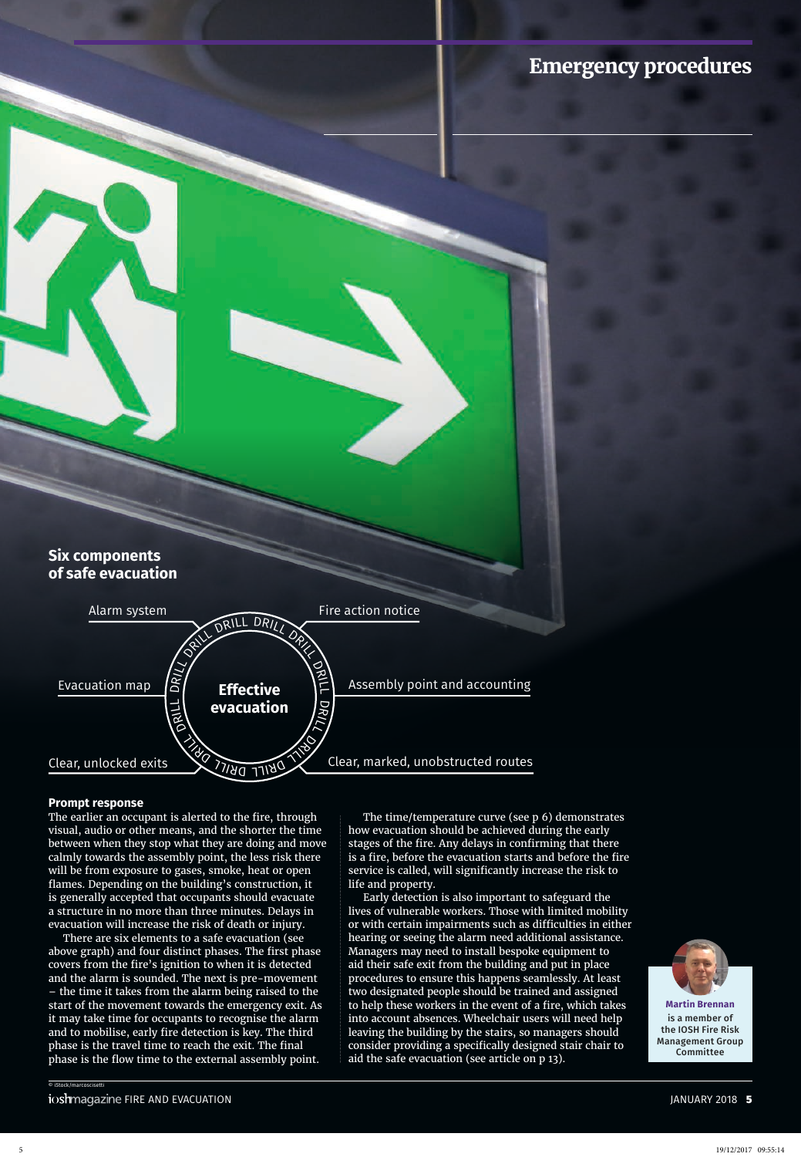## **Emergency procedures**





## **Prompt response**

The earlier an occupant is alerted to the fire, through visual, audio or other means, and the shorter the time between when they stop what they are doing and move calmly towards the assembly point, the less risk there will be from exposure to gases, smoke, heat or open fames. Depending on the building's construction, it is generally accepted that occupants should evacuate a structure in no more than three minutes. Delays in evacuation will increase the risk of death or injury.

There are six elements to a safe evacuation (see above graph) and four distinct phases. The first phase covers from the fire's ignition to when it is detected and the alarm is sounded. The next is pre-movement – the time it takes from the alarm being raised to the start of the movement towards the emergency exit. As it may take time for occupants to recognise the alarm and to mobilise, early fire detection is key. The third phase is the travel time to reach the exit. The final phase is the flow time to the external assembly point.

The time/temperature curve (see p 6) demonstrates how evacuation should be achieved during the early stages of the fire. Any delays in confirming that there is a fire, before the evacuation starts and before the fire service is called, will significantly increase the risk to life and property.

Early detection is also important to safeguard the lives of vulnerable workers. Those with limited mobility or with certain impairments such as difficulties in either hearing or seeing the alarm need additional assistance. Managers may need to install bespoke equipment to aid their safe exit from the building and put in place procedures to ensure this happens seamlessly. At least two designated people should be trained and assigned to help these workers in the event of a fire, which takes into account absences. Wheelchair users will need help leaving the building by the stairs, so managers should consider providing a specifically designed stair chair to aid the safe evacuation (see article on p 13).



**Martin Brennan** is a member of the IOSH Fire Risk Management Group **Committee** 

© iStock/marcoscisetti